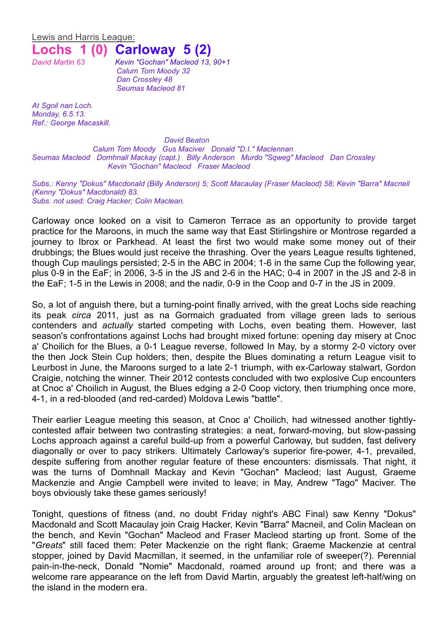Lewis and Harris League:

## **Lochs 1 (0) Carloway 5 (2)**

*David Martin 63 Kevin "Gochan" Macleod 13, 90+1 Calum Tom Moody 32 Dan Crossley 48 Seumas Macleod 81*

*At Sgoil nan Loch. Monday, 6.5.13. Ref.: George Macaskill.*

*David Beaton*

*Calum Tom Moody Gus Maciver Donald "D.I." Maclennan Seumas Macleod Domhnall Mackay (capt.) Billy Anderson Murdo "Sqweg" Macleod Dan Crossley Kevin "Gochan" Macleod Fraser Macleod*

*Subs.: Kenny "Dokus" Macdonald (Billy Anderson) 5; Scott Macaulay (Fraser Macleod) 58; Kevin "Barra" Macneil (Kenny "Dokus" Macdonald) 83. Subs. not used: Craig Hacker; Colin Maclean.*

Carloway once looked on a visit to Cameron Terrace as an opportunity to provide target practice for the Maroons, in much the same way that East Stirlingshire or Montrose regarded a journey to Ibrox or Parkhead. At least the first two would make some money out of their drubbings; the Blues would just receive the thrashing. Over the years League results tightened, though Cup maulings persisted; 2-5 in the ABC in 2004; 1-6 in the same Cup the following year, plus 0-9 in the EaF; in 2006, 3-5 in the JS and 2-6 in the HAC; 0-4 in 2007 in the JS and 2-8 in the EaF; 1-5 in the Lewis in 2008; and the nadir, 0-9 in the Coop and 0-7 in the JS in 2009.

So, a lot of anguish there, but a turning-point finally arrived, with the great Lochs side reaching its peak *circa* 2011, just as na Gormaich graduated from village green lads to serious contenders and *actually* started competing with Lochs, even beating them. However, last season's confrontations against Lochs had brought mixed fortune: opening day misery at Cnoc a' Choilich for the Blues, a 0-1 League reverse, followed In May, by a stormy 2-0 victory over the then Jock Stein Cup holders; then, despite the Blues dominating a return League visit to Leurbost in June, the Maroons surged to a late 2-1 triumph, with ex-Carloway stalwart, Gordon Craigie, notching the winner. Their 2012 contests concluded with two explosive Cup encounters at Cnoc a' Choilich in August, the Blues edging a 2-0 Coop victory, then triumphing once more, 4-1, in a red-blooded (and red-carded) Moldova Lewis "battle".

Their earlier League meeting this season, at Cnoc a' Choilich, had witnessed another tightlycontested affair between two contrasting strategies: a neat, forward-moving, but slow-passing Lochs approach against a careful build-up from a powerful Carloway, but sudden, fast delivery diagonally or over to pacy strikers. Ultimately Carloway's superior fire-power, 4-1, prevailed, despite suffering from another regular feature of these encounters: dismissals. That night, it was the turns of Domhnall Mackay and Kevin "Gochan" Macleod; last August, Graeme Mackenzie and Angie Campbell were invited to leave; in May, Andrew "Tago" Maciver. The boys obviously take these games seriously!

Tonight, questions of fitness (and, no doubt Friday night's ABC Final) saw Kenny "Dokus" Macdonald and Scott Macaulay join Craig Hacker, Kevin "Barra" Macneil, and Colin Maclean on the bench, and Kevin "Gochan" Macleod and Fraser Macleod starting up front. Some of the "*Greats*" still faced them: Peter Mackenzie on the right flank; Graeme Mackenzie at central stopper, joined by David Macmillan, it seemed, in the unfamiliar role of sweeper(?). Perennial pain-in-the-neck, Donald "Nomie" Macdonald, roamed around up front; and there was a welcome rare appearance on the left from David Martin, arguably the greatest left-half/wing on the island in the modern era.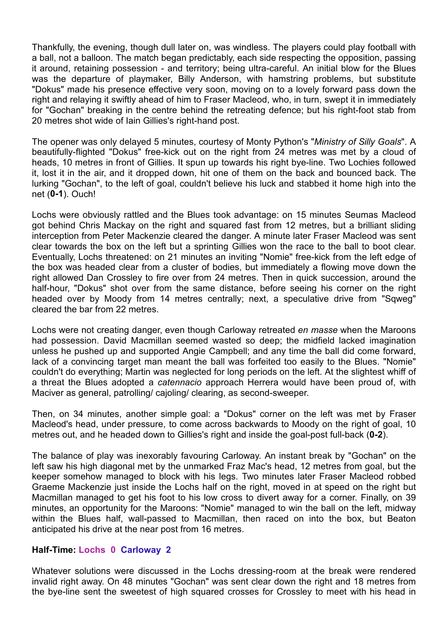Thankfully, the evening, though dull later on, was windless. The players could play football with a ball, not a balloon. The match began predictably, each side respecting the opposition, passing it around, retaining possession - and territory; being ultra-careful. An initial blow for the Blues was the departure of playmaker, Billy Anderson, with hamstring problems, but substitute "Dokus" made his presence effective very soon, moving on to a lovely forward pass down the right and relaying it swiftly ahead of him to Fraser Macleod, who, in turn, swept it in immediately for "Gochan" breaking in the centre behind the retreating defence; but his right-foot stab from 20 metres shot wide of Iain Gillies's right-hand post.

The opener was only delayed 5 minutes, courtesy of Monty Python's "*Ministry of Silly Goals*". A beautifully-flighted "Dokus" free-kick out on the right from 24 metres was met by a cloud of heads, 10 metres in front of Gillies. It spun up towards his right bye-line. Two Lochies followed it, lost it in the air, and it dropped down, hit one of them on the back and bounced back. The lurking "Gochan", to the left of goal, couldn't believe his luck and stabbed it home high into the net (**0-1**). Ouch!

Lochs were obviously rattled and the Blues took advantage: on 15 minutes Seumas Macleod got behind Chris Mackay on the right and squared fast from 12 metres, but a brilliant sliding interception from Peter Mackenzie cleared the danger. A minute later Fraser Macleod was sent clear towards the box on the left but a sprinting Gillies won the race to the ball to boot clear. Eventually, Lochs threatened: on 21 minutes an inviting "Nomie" free-kick from the left edge of the box was headed clear from a cluster of bodies, but immediately a flowing move down the right allowed Dan Crossley to fire over from 24 metres. Then in quick succession, around the half-hour, "Dokus" shot over from the same distance, before seeing his corner on the right headed over by Moody from 14 metres centrally; next, a speculative drive from "Sqweg" cleared the bar from 22 metres.

Lochs were not creating danger, even though Carloway retreated *en masse* when the Maroons had possession. David Macmillan seemed wasted so deep; the midfield lacked imagination unless he pushed up and supported Angie Campbell; and any time the ball did come forward, lack of a convincing target man meant the ball was forfeited too easily to the Blues. "Nomie" couldn't do everything; Martin was neglected for long periods on the left. At the slightest whiff of a threat the Blues adopted a *catennacio* approach Herrera would have been proud of, with Maciver as general, patrolling/ cajoling/ clearing, as second-sweeper.

Then, on 34 minutes, another simple goal: a "Dokus" corner on the left was met by Fraser Macleod's head, under pressure, to come across backwards to Moody on the right of goal, 10 metres out, and he headed down to Gillies's right and inside the goal-post full-back (**0-2**).

The balance of play was inexorably favouring Carloway. An instant break by "Gochan" on the left saw his high diagonal met by the unmarked Fraz Mac's head, 12 metres from goal, but the keeper somehow managed to block with his legs. Two minutes later Fraser Macleod robbed Graeme Mackenzie just inside the Lochs half on the right, moved in at speed on the right but Macmillan managed to get his foot to his low cross to divert away for a corner. Finally, on 39 minutes, an opportunity for the Maroons: "Nomie" managed to win the ball on the left, midway within the Blues half, wall-passed to Macmillan, then raced on into the box, but Beaton anticipated his drive at the near post from 16 metres.

## **Half-Time: Lochs 0 Carloway 2**

Whatever solutions were discussed in the Lochs dressing-room at the break were rendered invalid right away. On 48 minutes "Gochan" was sent clear down the right and 18 metres from the bye-line sent the sweetest of high squared crosses for Crossley to meet with his head in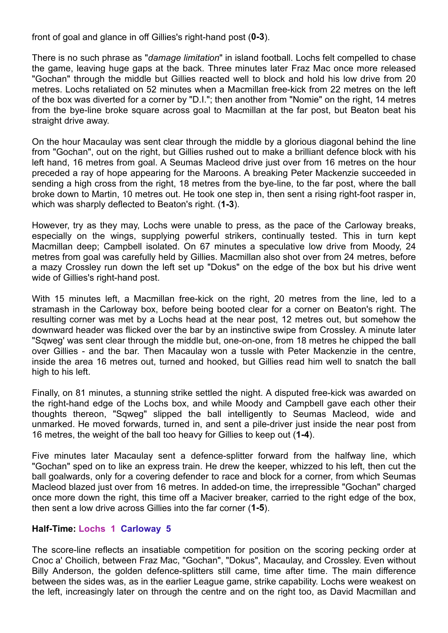front of goal and glance in off Gillies's right-hand post (**0-3**).

There is no such phrase as "*damage limitation*" in island football. Lochs felt compelled to chase the game, leaving huge gaps at the back. Three minutes later Fraz Mac once more released "Gochan" through the middle but Gillies reacted well to block and hold his low drive from 20 metres. Lochs retaliated on 52 minutes when a Macmillan free-kick from 22 metres on the left of the box was diverted for a corner by "D.I."; then another from "Nomie" on the right, 14 metres from the bye-line broke square across goal to Macmillan at the far post, but Beaton beat his straight drive away.

On the hour Macaulay was sent clear through the middle by a glorious diagonal behind the line from "Gochan", out on the right, but Gillies rushed out to make a brilliant defence block with his left hand, 16 metres from goal. A Seumas Macleod drive just over from 16 metres on the hour preceded a ray of hope appearing for the Maroons. A breaking Peter Mackenzie succeeded in sending a high cross from the right, 18 metres from the bye-line, to the far post, where the ball broke down to Martin, 10 metres out. He took one step in, then sent a rising right-foot rasper in, which was sharply deflected to Beaton's right. (**1-3**).

However, try as they may, Lochs were unable to press, as the pace of the Carloway breaks, especially on the wings, supplying powerful strikers, continually tested. This in turn kept Macmillan deep; Campbell isolated. On 67 minutes a speculative low drive from Moody, 24 metres from goal was carefully held by Gillies. Macmillan also shot over from 24 metres, before a mazy Crossley run down the left set up "Dokus" on the edge of the box but his drive went wide of Gillies's right-hand post.

With 15 minutes left, a Macmillan free-kick on the right, 20 metres from the line, led to a stramash in the Carloway box, before being booted clear for a corner on Beaton's right. The resulting corner was met by a Lochs head at the near post, 12 metres out, but somehow the downward header was flicked over the bar by an instinctive swipe from Crossley. A minute later "Sqweg' was sent clear through the middle but, one-on-one, from 18 metres he chipped the ball over Gillies - and the bar. Then Macaulay won a tussle with Peter Mackenzie in the centre, inside the area 16 metres out, turned and hooked, but Gillies read him well to snatch the ball high to his left.

Finally, on 81 minutes, a stunning strike settled the night. A disputed free-kick was awarded on the right-hand edge of the Lochs box, and while Moody and Campbell gave each other their thoughts thereon, "Sqweg" slipped the ball intelligently to Seumas Macleod, wide and unmarked. He moved forwards, turned in, and sent a pile-driver just inside the near post from 16 metres, the weight of the ball too heavy for Gillies to keep out (**1-4**).

Five minutes later Macaulay sent a defence-splitter forward from the halfway line, which "Gochan" sped on to like an express train. He drew the keeper, whizzed to his left, then cut the ball goalwards, only for a covering defender to race and block for a corner, from which Seumas Macleod blazed just over from 16 metres. In added-on time, the irrepressible "Gochan" charged once more down the right, this time off a Maciver breaker, carried to the right edge of the box, then sent a low drive across Gillies into the far corner (**1-5**).

## **Half-Time: Lochs 1 Carloway 5**

The score-line reflects an insatiable competition for position on the scoring pecking order at Cnoc a' Choilich, between Fraz Mac, "Gochan", "Dokus", Macaulay, and Crossley. Even without Billy Anderson, the golden defence-splitters still came, time after time. The main difference between the sides was, as in the earlier League game, strike capability. Lochs were weakest on the left, increasingly later on through the centre and on the right too, as David Macmillan and